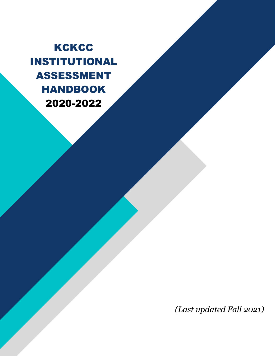**KCKCC** INSTITUTIONAL ASSESSMENT HANDBOOK 2020-2022

*(Last updated Fall 2021)*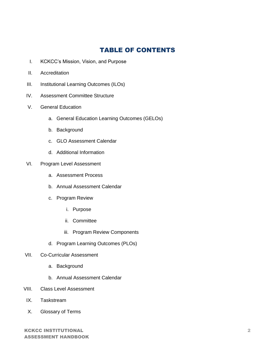# TABLE OF CONTENTS

- I. KCKCC's Mission, Vision, and Purpose
- II. Accreditation
- III. Institutional Learning Outcomes (ILOs)
- IV. Assessment Committee Structure
- V. General Education
	- a. General Education Learning Outcomes (GELOs)
	- b. Background
	- c. GLO Assessment Calendar
	- d. Additional Information
- VI. Program Level Assessment
	- a. Assessment Process
	- b. Annual Assessment Calendar
	- c. Program Review
		- i. Purpose
		- ii. Committee
		- iii. Program Review Components
	- d. Program Learning Outcomes (PLOs)
- VII. Co-Curricular Assessment
	- a. Background
	- b. Annual Assessment Calendar
- VIII. Class Level Assessment
- IX. Taskstream
- X. Glossary of Terms

KCKCC INSTITUTIONAL ASSESSMENT HANDBOOK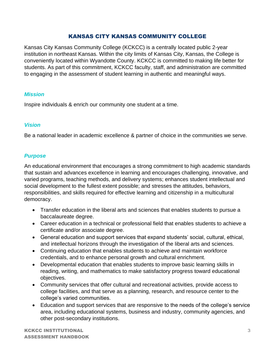## KANSAS CITY KANSAS COMMUNITY COLLEGE

Kansas City Kansas Community College (KCKCC) is a centrally located public 2-year institution in northeast Kansas. Within the city limits of Kansas City, Kansas, the College is conveniently located within Wyandotte County. KCKCC is committed to making life better for students. As part of this commitment, KCKCC faculty, staff, and administration are committed to engaging in the assessment of student learning in authentic and meaningful ways.

#### *Mission*

Inspire individuals & enrich our community one student at a time.

## *Vision*

Be a national leader in academic excellence & partner of choice in the communities we serve.

## *Purpose*

An educational environment that encourages a strong commitment to high academic standards that sustain and advances excellence in learning and encourages challenging, innovative, and varied programs, teaching methods, and delivery systems; enhances student intellectual and social development to the fullest extent possible; and stresses the attitudes, behaviors, responsibilities, and skills required for effective learning and citizenship in a multicultural democracy.

- Transfer education in the liberal arts and sciences that enables students to pursue a baccalaureate degree.
- Career education in a technical or professional field that enables students to achieve a certificate and/or associate degree.
- General education and support services that expand students' social, cultural, ethical, and intellectual horizons through the investigation of the liberal arts and sciences.
- Continuing education that enables students to achieve and maintain workforce credentials, and to enhance personal growth and cultural enrichment.
- Developmental education that enables students to improve basic learning skills in reading, writing, and mathematics to make satisfactory progress toward educational objectives.
- Community services that offer cultural and recreational activities, provide access to college facilities, and that serve as a planning, research, and resource center to the college's varied communities.
- Education and support services that are responsive to the needs of the college's service area, including educational systems, business and industry, community agencies, and other post-secondary institutions.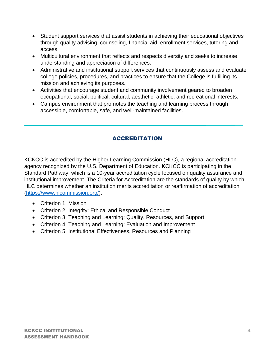- Student support services that assist students in achieving their educational objectives through quality advising, counseling, financial aid, enrollment services, tutoring and access.
- Multicultural environment that reflects and respects diversity and seeks to increase understanding and appreciation of differences.
- Administrative and institutional support services that continuously assess and evaluate college policies, procedures, and practices to ensure that the College is fulfilling its mission and achieving its purposes.
- Activities that encourage student and community involvement geared to broaden occupational, social, political, cultural, aesthetic, athletic, and recreational interests.
- Campus environment that promotes the teaching and learning process through accessible, comfortable, safe, and well-maintained facilities.

# ACCREDITATION

KCKCC is accredited by the Higher Learning Commission (HLC), a regional accreditation agency recognized by the U.S. Department of Education. KCKCC is participating in the Standard Pathway, which is a 10-year accreditation cycle focused on quality assurance and institutional improvement. The Criteria for Accreditation are the standards of quality by which HLC determines whether an institution merits accreditation or reaffirmation of accreditation (https://www.hlcommission.org/).

- Criterion 1. Mission
- Criterion 2. Integrity: Ethical and Responsible Conduct
- Criterion 3. Teaching and Learning: Quality, Resources, and Support
- Criterion 4. Teaching and Learning: Evaluation and Improvement
- Criterion 5. Institutional Effectiveness, Resources and Planning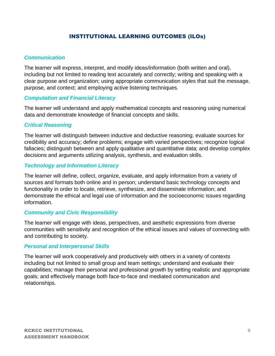# INSTITUTIONAL LEARNING OUTCOMES (ILOs)

#### *Communication*

The learner will express, interpret, and modify ideas/information (both written and oral), including but not limited to reading text accurately and correctly; writing and speaking with a clear purpose and organization; using appropriate communication styles that suit the message, purpose, and context; and employing active listening techniques.

#### *Computation and Financial Literacy*

The learner will understand and apply mathematical concepts and reasoning using numerical data and demonstrate knowledge of financial concepts and skills.

#### *Critical Reasoning*

The learner will distinguish between inductive and deductive reasoning; evaluate sources for credibility and accuracy; define problems; engage with varied perspectives; recognize logical fallacies; distinguish between and apply qualitative and quantitative data; and develop complex decisions and arguments utilizing analysis, synthesis, and evaluation skills.

#### *Technology and Information Literacy*

The learner will define, collect, organize, evaluate, and apply information from a variety of sources and formats both online and in person; understand basic technology concepts and functionality in order to locate, retrieve, synthesize, and disseminate information; and demonstrate the ethical and legal use of information and the socioeconomic issues regarding information.

#### *Community and Civic Responsibility*

The learner will engage with ideas, perspectives, and aesthetic expressions from diverse communities with sensitivity and recognition of the ethical issues and values of connecting with and contributing to society.

#### *Personal and Interpersonal Skills*

The learner will work cooperatively and productively with others in a variety of contexts including but not limited to small group and team settings; understand and evaluate their capabilities; manage their personal and professional growth by setting realistic and appropriate goals; and effectively manage both face-to-face and mediated communication and relationships.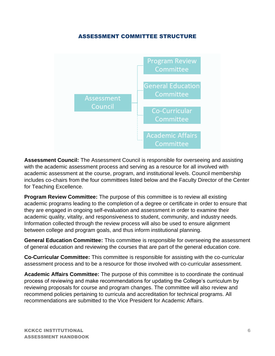## ASSESSMENT COMMITTEE STRUCTURE



**Assessment Council:** The Assessment Council is responsible for overseeing and assisting with the academic assessment process and serving as a resource for all involved with academic assessment at the course, program, and institutional levels. Council membership includes co-chairs from the four committees listed below and the Faculty Director of the Center for Teaching Excellence.

**Program Review Committee:** The purpose of this committee is to review all existing academic programs leading to the completion of a degree or certificate in order to ensure that they are engaged in ongoing self-evaluation and assessment in order to examine their academic quality, vitality, and responsiveness to student, community, and industry needs. Information collected through the review process will also be used to ensure alignment between college and program goals, and thus inform institutional planning.

**General Education Committee:** This committee is responsible for overseeing the assessment of general education and reviewing the courses that are part of the general education core.

**Co-Curricular Committee:** This committee is responsible for assisting with the co-curricular assessment process and to be a resource for those involved with co-curricular assessment.

**Academic Affairs Committee:** The purpose of this committee is to coordinate the continual process of reviewing and make recommendations for updating the College's curriculum by reviewing proposals for course and program changes. The committee will also review and recommend policies pertaining to curricula and accreditation for technical programs. All recommendations are submitted to the Vice President for Academic Affairs.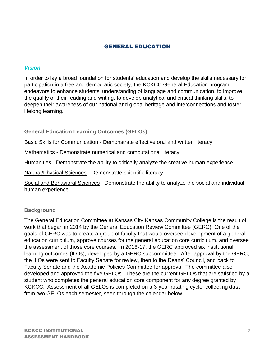# GENERAL EDUCATION

#### *Vision*

In order to lay a broad foundation for students' education and develop the skills necessary for participation in a free and democratic society, the KCKCC General Education program endeavors to enhance students' understanding of language and communication, to improve the quality of their reading and writing, to develop analytical and critical thinking skills, to deepen their awareness of our national and global heritage and interconnections and foster lifelong learning.

**General Education Learning Outcomes (GELOs)**

Basic Skills for Communication - Demonstrate effective oral and written literacy

Mathematics - Demonstrate numerical and computational literacy

Humanitie*s* - Demonstrate the ability to critically analyze the creative human experience

Natural/Physical Sciences - Demonstrate scientific literacy

Social and Behavioral Sciences - Demonstrate the ability to analyze the social and individual human experience.

#### **Background**

The General Education Committee at Kansas City Kansas Community College is the result of work that began in 2014 by the General Education Review Committee (GERC). One of the goals of GERC was to create a group of faculty that would oversee development of a general education curriculum, approve courses for the general education core curriculum, and oversee the assessment of those core courses. In 2016-17, the GERC approved six institutional learning outcomes (ILOs), developed by a GERC subcommittee. After approval by the GERC, the ILOs were sent to Faculty Senate for review, then to the Deans' Council, and back to Faculty Senate and the Academic Policies Committee for approval. The committee also developed and approved the five GELOs. These are the current GELOs that are satisfied by a student who completes the general education core component for any degree granted by KCKCC. Assessment of all GELOs is completed on a 3-year rotating cycle, collecting data from two GELOs each semester, seen through the calendar below.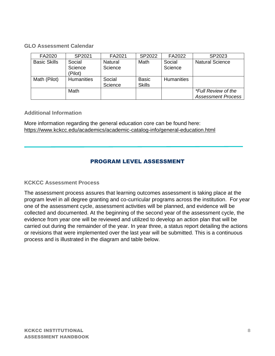#### **GLO Assessment Calendar**

| FA2020              | SP2021                      | FA2021             | SP2022                        | FA2022            | SP2023                                           |
|---------------------|-----------------------------|--------------------|-------------------------------|-------------------|--------------------------------------------------|
| <b>Basic Skills</b> | Social<br>Science<br>Pilot) | Natural<br>Science | Math                          | Social<br>Science | <b>Natural Science</b>                           |
| Math (Pilot)        | <b>Humanities</b>           | Social<br>Science  | <b>Basic</b><br><b>Skills</b> | <b>Humanities</b> |                                                  |
|                     | Math                        |                    |                               |                   | *Full Review of the<br><b>Assessment Process</b> |

#### **Additional Information**

More information regarding the general education core can be found here: https://www.kckcc.edu/academics/academic-catalog-info/general-education.html

# PROGRAM LEVEL ASSESSMENT

#### **KCKCC Assessment Process**

The assessment process assures that learning outcomes assessment is taking place at the program level in all degree granting and co-curricular programs across the institution. For year one of the assessment cycle, assessment activities will be planned, and evidence will be collected and documented. At the beginning of the second year of the assessment cycle, the evidence from year one will be reviewed and utilized to develop an action plan that will be carried out during the remainder of the year. In year three, a status report detailing the actions or revisions that were implemented over the last year will be submitted. This is a continuous process and is illustrated in the diagram and table below.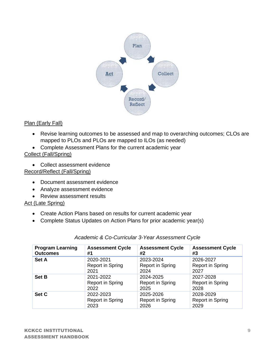

# Plan (Early Fall)

- Revise learning outcomes to be assessed and map to overarching outcomes; CLOs are mapped to PLOs and PLOs are mapped to ILOs (as needed)
- Complete Assessment Plans for the current academic year

# Collect (Fall/Spring)

• Collect assessment evidence

# Record/Reflect (Fall/Spring)

- Document assessment evidence
- Analyze assessment evidence
- Review assessment results

# Act (Late Spring)

- Create Action Plans based on results for current academic year
- Complete Status Updates on Action Plans for prior academic year(s)

| <b>Program Learning</b> | <b>Assessment Cycle</b> | <b>Assessment Cycle</b> | <b>Assessment Cycle</b> |
|-------------------------|-------------------------|-------------------------|-------------------------|
| <b>Outcomes</b>         | #1                      | #2                      | #3                      |
| <b>Set A</b>            | 2020-2021               | 2023-2024               | 2026-2027               |
|                         | <b>Report in Spring</b> | <b>Report in Spring</b> | Report in Spring        |
|                         | 2021                    | 2024                    | 2027                    |
| <b>Set B</b>            | 2021-2022               | 2024-2025               | 2027-2028               |
|                         | <b>Report in Spring</b> | <b>Report in Spring</b> | Report in Spring        |
|                         | 2022                    | 2025                    | 2028                    |
| Set C                   | 2022-2023               | 2025-2026               | 2028-2029               |
|                         | Report in Spring        | <b>Report in Spring</b> | Report in Spring        |
|                         | 2023                    | 2026                    | 2029                    |

#### *Academic & Co-Curricular 3-Year Assessment Cycle*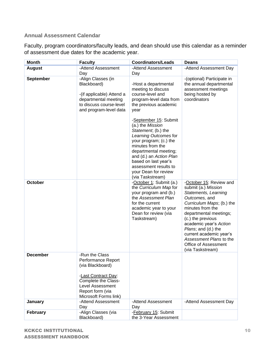**Annual Assessment Calendar**

Faculty, program coordinators/faculty leads, and dean should use this calendar as a reminder of assessment due dates for the academic year.

| <b>Month</b>     | <b>Faculty</b>                                                                                                                                                                 | <b>Coordinators/Leads</b>                                                                                                                                                                                                                                                                                                                                                                          | <b>Deans</b>                                                                                                                                                                                                                                                                                                                               |
|------------------|--------------------------------------------------------------------------------------------------------------------------------------------------------------------------------|----------------------------------------------------------------------------------------------------------------------------------------------------------------------------------------------------------------------------------------------------------------------------------------------------------------------------------------------------------------------------------------------------|--------------------------------------------------------------------------------------------------------------------------------------------------------------------------------------------------------------------------------------------------------------------------------------------------------------------------------------------|
| <b>August</b>    | -Attend Assessment                                                                                                                                                             | -Attend Assessment                                                                                                                                                                                                                                                                                                                                                                                 | -Attend Assessment Day                                                                                                                                                                                                                                                                                                                     |
|                  | Day                                                                                                                                                                            | Day                                                                                                                                                                                                                                                                                                                                                                                                |                                                                                                                                                                                                                                                                                                                                            |
| <b>September</b> | -Align Classes (in<br>Blackboard)<br>-(if applicable) Attend a<br>departmental meeting<br>to discuss course-level<br>and program-level data                                    | -Host a departmental<br>meeting to discuss<br>course-level and<br>program-level data from<br>the previous academic<br>year<br>-September 15: Submit<br>(a.) the Mission<br>Statement; (b.) the<br>Learning Outcomes for<br>your program; (c.) the<br>minutes from the<br>departmental meeting;<br>and (d.) an Action Plan<br>based on last year's<br>assessment results to<br>your Dean for review | -(optional) Participate in<br>the annual departmental<br>assessment meetings<br>being hosted by<br>coordinators                                                                                                                                                                                                                            |
| October          |                                                                                                                                                                                | (via Taskstream)<br>-October 1: Submit (a.)<br>the Curriculum Map for<br>your program and (b.)<br>the Assessment Plan<br>for the current<br>academic year to your<br>Dean for review (via<br>Taskstream)                                                                                                                                                                                           | -October 15: Review and<br>submit (a.) Mission<br>Statements, Learning<br>Outcomes, and<br>Curriculum Maps; (b.) the<br>minutes from the<br>departmental meetings;<br>(c.) the previous<br>academic year's Action<br>Plans; and (d.) the<br>current academic year's<br>Assessment Plans to the<br>Office of Assessment<br>(via Taskstream) |
| <b>December</b>  | -Run the Class<br>Performance Report<br>(via Blackboard)<br>-Last Contract Day:<br>Complete the Class-<br><b>Level Assessment</b><br>Report form (via<br>Microsoft Forms link) |                                                                                                                                                                                                                                                                                                                                                                                                    |                                                                                                                                                                                                                                                                                                                                            |
| January          | -Attend Assessment<br>Day                                                                                                                                                      | -Attend Assessment<br>Day                                                                                                                                                                                                                                                                                                                                                                          | -Attend Assessment Day                                                                                                                                                                                                                                                                                                                     |
| February         | -Align Classes (via<br>Blackboard)                                                                                                                                             | -February 15: Submit<br>the 3-Year Assessment                                                                                                                                                                                                                                                                                                                                                      |                                                                                                                                                                                                                                                                                                                                            |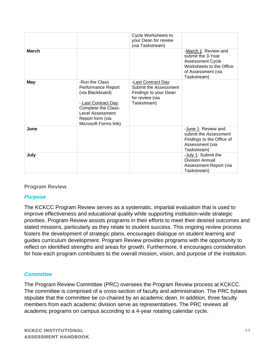|              |                                                                                                                                                                          | Cycle Worksheets to<br>your Dean for review<br>(via Taskstream)                                         |                                                                                                                                       |
|--------------|--------------------------------------------------------------------------------------------------------------------------------------------------------------------------|---------------------------------------------------------------------------------------------------------|---------------------------------------------------------------------------------------------------------------------------------------|
| <b>March</b> |                                                                                                                                                                          |                                                                                                         | -March 1: Review and<br>submit the 3-Year<br><b>Assessment Cycle</b><br>Worksheets to the Office<br>of Assessment (via<br>Taskstream) |
| <b>May</b>   | -Run the Class<br>Performance Report<br>(via Blackboard)<br>- Last Contract Day:<br>Complete the Class-<br>Level Assessment<br>Report form (via<br>Microsoft Forms link) | -Last Contract Day:<br>Submit the Assessment<br>Findings to your Dean<br>for review (via<br>Taskstream) |                                                                                                                                       |
| June         |                                                                                                                                                                          |                                                                                                         | -June 1: Review and<br>submit the Assessment<br>Findings to the Office of<br>Assessment (via<br>Taskstream)                           |
| July         |                                                                                                                                                                          |                                                                                                         | -July 1: Submit the<br><b>Division Annual</b><br>Assessment Report (via<br>Taskstream)                                                |

#### **Program Review**

#### *Purpose*

The KCKCC Program Review serves as a systematic, impartial evaluation that is used to improve effectiveness and educational quality while supporting institution-wide strategic priorities. Program Review assists programs in their efforts to meet their desired outcomes and stated missions, particularly as they relate to student success. This ongoing review process fosters the development of strategic plans, encourages dialogue on student learning and guides curriculum development. Program Review provides programs with the opportunity to reflect on identified strengths and areas for growth. Furthermore, it encourages consideration for how each program contributes to the overall mission, vision, and purpose of the institution.

#### *Committee*

The Program Review Committee (PRC) oversees the Program Review process at KCKCC. The committee is comprised of a cross-section of faculty and administration. The PRC bylaws stipulate that the committee be co-chaired by an academic dean. In addition, three faculty members from each academic division serve as representatives. The PRC reviews all academic programs on campus according to a 4-year rotating calendar cycle.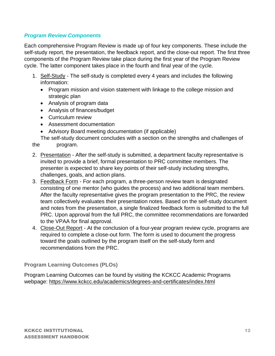# *Program Review Components*

Each comprehensive Program Review is made up of four key components. These include the self-study report, the presentation, the feedback report, and the close-out report. The first three components of the Program Review take place during the first year of the Program Review cycle. The latter component takes place in the fourth and final year of the cycle.

- 1. Self-Study The self-study is completed every 4 years and includes the following information:
	- Program mission and vision statement with linkage to the college mission and strategic plan
	- Analysis of program data
	- Analysis of finances/budget
	- Curriculum review
	- Assessment documentation
	- Advisory Board meeting documentation (if applicable)

The self-study document concludes with a section on the strengths and challenges of the program.

- 2. Presentation After the self-study is submitted, a department faculty representative is invited to provide a brief, formal presentation to PRC committee members. The presenter is expected to share key points of their self-study including strengths, challenges, goals, and action plans.
- 3. Feedback Form For each program, a three-person review team is designated consisting of one mentor (who guides the process) and two additional team members. After the faculty representative gives the program presentation to the PRC, the review team collectively evaluates their presentation notes. Based on the self-study document and notes from the presentation, a single finalized feedback form is submitted to the full PRC. Upon approval from the full PRC, the committee recommendations are forwarded to the VPAA for final approval.
- 4. Close-Out Report At the conclusion of a four-year program review cycle, programs are required to complete a close-out form. The form is used to document the progress toward the goals outlined by the program itself on the self-study form and recommendations from the PRC.

#### **Program Learning Outcomes (PLOs)**

Program Learning Outcomes can be found by visiting the KCKCC Academic Programs webpage: https://www.kckcc.edu/academics/degrees-and-certificates/index.html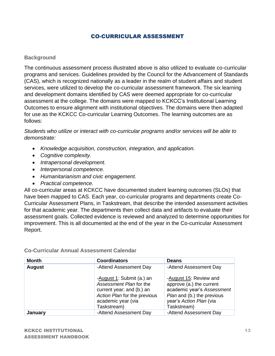## CO-CURRICULAR ASSESSMENT

#### **Background**

The continuous assessment process illustrated above is also utilized to evaluate co-curricular programs and services. Guidelines provided by the Council for the Advancement of Standards (CAS), which is recognized nationally as a leader in the realm of student affairs and student services, were utilized to develop the co-curricular assessment framework. The six learning and development domains identified by CAS were deemed appropriate for co-curricular assessment at the college. The domains were mapped to KCKCC's Institutional Learning Outcomes to ensure alignment with institutional objectives. The domains were then adapted for use as the KCKCC Co-curricular Learning Outcomes. The learning outcomes are as follows:

*Students who utilize or interact with co-curricular programs and/or services will be able to demonstrate:* 

- *Knowledge acquisition, construction, integration, and application.*
- *Cognitive complexity.*
- *Intrapersonal development.*
- *Interpersonal competence.*
- *Humanitarianism and civic engagement.*
- *Practical competence.*

All co-curricular areas at KCKCC have documented student learning outcomes (SLOs) that have been mapped to CAS. Each year, co-curricular programs and departments create Co-Curricular Assessment Plans, in Taskstream, that describe the intended assessment activities for that academic year. The departments then collect data and artifacts to evaluate their assessment goals. Collected evidence is reviewed and analyzed to determine opportunities for improvement. This is all documented at the end of the year in the Co-curricular Assessment Report.

| <b>Month</b>  | <b>Coordinators</b>                                                                                                                                    | Deans                                                                                                                                                    |
|---------------|--------------------------------------------------------------------------------------------------------------------------------------------------------|----------------------------------------------------------------------------------------------------------------------------------------------------------|
| <b>August</b> | -Attend Assessment Day                                                                                                                                 | -Attend Assessment Day                                                                                                                                   |
|               | -August 1: Submit (a.) an<br>Assessment Plan for the<br>current year; and (b.) an<br>Action Plan for the previous<br>academic year (via<br>Taskstream) | -August 15: Review and<br>approve (a.) the current<br>academic year's Assessment<br>Plan and (b.) the previous<br>year's Action Plan (via<br>Taskstream) |
| January       | -Attend Assessment Day                                                                                                                                 | -Attend Assessment Day                                                                                                                                   |

**Co-Curricular Annual Assessment Calendar**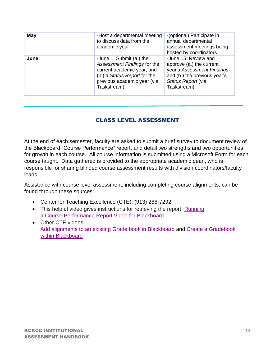| May  | -Host a departmental meeting<br>to discuss data from the<br>academic year                                                                                           | -(optional) Participate in<br>annual departmental<br>assessment meetings being<br>hosted by coordinators                                             |
|------|---------------------------------------------------------------------------------------------------------------------------------------------------------------------|------------------------------------------------------------------------------------------------------------------------------------------------------|
| June | -June 1: Submit (a.) the<br>Assessment Findings for the<br>current academic year; and<br>(b.) a Status Report for the<br>previous academic year (via<br>Taskstream) | -June 15: Review and<br>approve (a.) the current<br>year's Assessment Findings;<br>and (b.) the previous year's<br>Status Report (via<br>Taskstream) |

# CLASS LEVEL ASSESSMENT

At the end of each semester, faculty are asked to submit a brief survey to document review of the Blackboard "Course Performance" report, and detail two strengths and two opportunities for growth in each course. All course information is submitted using a Microsoft Form for each course taught. Data gathered is provided to the appropriate academic dean, who is responsible for sharing blinded course assessment results with division coordinators/faculty leads.

Assistance with course level assessment, including completing course alignments, can be found through these sources:

- Center for Teaching Excellence (CTE): (913) 288-7292
- This helpful video gives instructions for retrieving the report: Running a Course Performance Report Video for Blackboard
- Other CTE videos-Add alignments to an existing Grade book in Blackboard and Create a Gradebook within Blackboard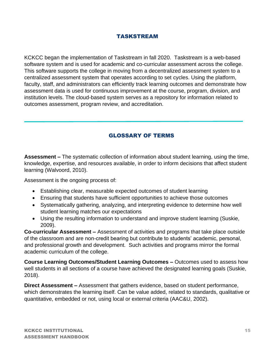## TASKSTREAM

KCKCC began the implementation of Taskstream in fall 2020. Taskstream is a web-based software system and is used for academic and co-curricular assessment across the college. This software supports the college in moving from a decentralized assessment system to a centralized assessment system that operates according to set cycles. Using the platform, faculty, staff, and administrators can efficiently track learning outcomes and demonstrate how assessment data is used for continuous improvement at the course, program, division, and institution levels. The cloud-based system serves as a repository for information related to outcomes assessment, program review, and accreditation.

# GLOSSARY OF TERMS

**Assessment –** The systematic collection of information about student learning, using the time, knowledge, expertise, and resources available, in order to inform decisions that affect student learning (Walvoord, 2010).

Assessment is the ongoing process of:

- Establishing clear, measurable expected outcomes of student learning
- Ensuring that students have sufficient opportunities to achieve those outcomes
- Systematically gathering, analyzing, and interpreting evidence to determine how well student learning matches our expectations
- Using the resulting information to understand and improve student learning (Suskie, 2009).

**Co-curricular Assessment –** Assessment of activities and programs that take place outside of the classroom and are non-credit bearing but contribute to students' academic, personal, and professional growth and development. Such activities and programs mirror the formal academic curriculum of the college.

**Course Learning Outcomes/Student Learning Outcomes –** Outcomes used to assess how well students in all sections of a course have achieved the designated learning goals (Suskie, 2018).

**Direct Assessment –** Assessment that gathers evidence, based on student performance, which demonstrates the learning itself. Can be value added, related to standards, qualitative or quantitative, embedded or not, using local or external criteria (AAC&U, 2002).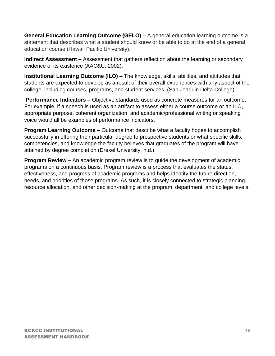**General Education Learning Outcome (GELO) –** A general education learning outcome is a statement that describes what a student should know or be able to do at the end of a general education course (Hawaii Pacific University).

**Indirect Assessment –** Assessment that gathers reflection about the learning or secondary evidence of its existence (AAC&U, 2002).

**Institutional Learning Outcome (ILO) –** The knowledge, skills, abilities, and attitudes that students are expected to develop as a result of their overall experiences with any aspect of the college, including courses, programs, and student services. (San Joaquin Delta College).

**Performance Indicators –** Objective standards used as concrete measures for an outcome. For example, if a speech is used as an artifact to assess either a course outcome or an ILO, appropriate purpose, coherent organization, and academic/professional writing or speaking voice would all be examples of performance indicators.

**Program Learning Outcome –** Outcome that describe what a faculty hopes to accomplish successfully in offering their particular degree to prospective students or what specific skills, competencies, and knowledge the faculty believes that graduates of the program will have attained by degree completion (Drexel University, n.d.).

**Program Review –** An academic program review is to guide the development of academic programs on a continuous basis. Program review is a process that evaluates the status, effectiveness, and progress of academic programs and helps identify the future direction, needs, and priorities of those programs. As such, it is closely connected to strategic planning, resource allocation, and other decision-making at the program, department, and college levels.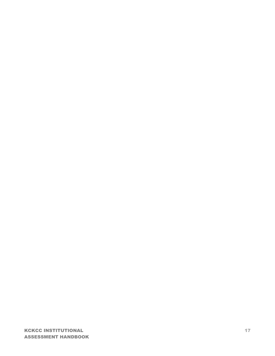KCKCC INSTITUTIONAL ASSESSMENT HANDBOOK